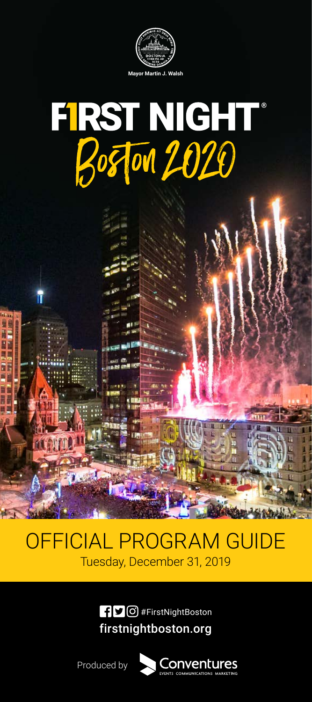

# FIRST NIGHT®<br>Boston 2020

## OFFICIAL PROGRAM GUIDE Tuesday, December 31, 2019

firstnightboston.org **f**  $\bigcirc$  **6** #FirstNightBoston

Conventures

Produced by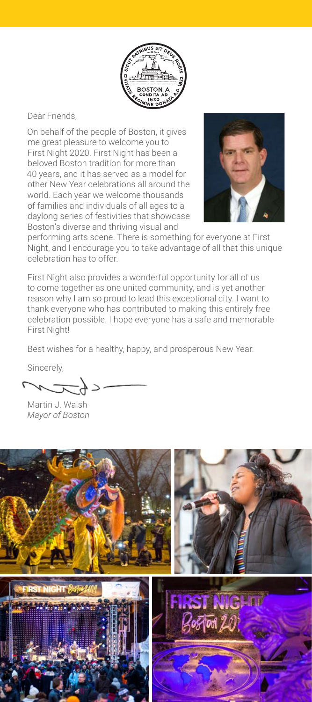

Dear Friends,

On behalf of the people of Boston, it gives me great pleasure to welcome you to First Night 2020. First Night has been a beloved Boston tradition for more than 40 years, and it has served as a model for other New Year celebrations all around the world. Each year we welcome thousands of families and individuals of all ages to a daylong series of festivities that showcase Boston's diverse and thriving visual and



performing arts scene. There is something for everyone at First Night, and I encourage you to take advantage of all that this unique celebration has to offer.

First Night also provides a wonderful opportunity for all of us to come together as one united community, and is yet another reason why I am so proud to lead this exceptional city. I want to thank everyone who has contributed to making this entirely free celebration possible. I hope everyone has a safe and memorable First Night!

Best wishes for a healthy, happy, and prosperous New Year.

Sincerely,

 $\sim$ 

Martin J. Walsh *Mayor of Boston*

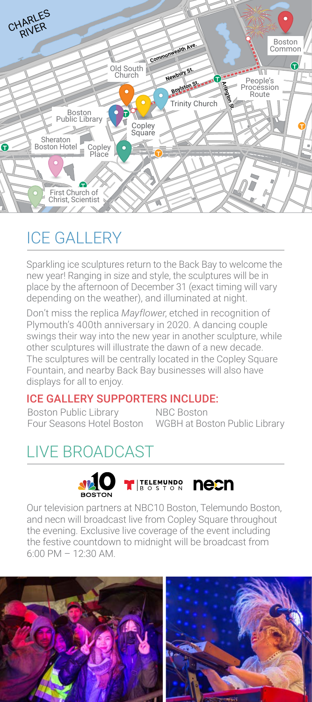

# ICE GALLERY

Sparkling ice sculptures return to the Back Bay to welcome the new year! Ranging in size and style, the sculptures will be in place by the afternoon of December 31 (exact timing will vary depending on the weather), and illuminated at night.

Don't miss the replica *Mayflower*, etched in recognition of Plymouth's 400th anniversary in 2020. A dancing couple swings their way into the new year in another sculpture, while other sculptures will illustrate the dawn of a new decade. The sculptures will be centrally located in the Copley Square Fountain, and nearby Back Bay businesses will also have displays for all to enjoy.

#### ICE GALLERY SUPPORTERS INCLUDE:

Boston Public Library

Four Seasons Hotel Boston WGBH at Boston Public Library NBC Boston

# LIVE BROADCAST



Our television partners at NBC10 Boston, Telemundo Boston, and necn will broadcast live from Copley Square throughout the evening. Exclusive live coverage of the event including the festive countdown to midnight will be broadcast from 6:00 PM – 12:30 AM.

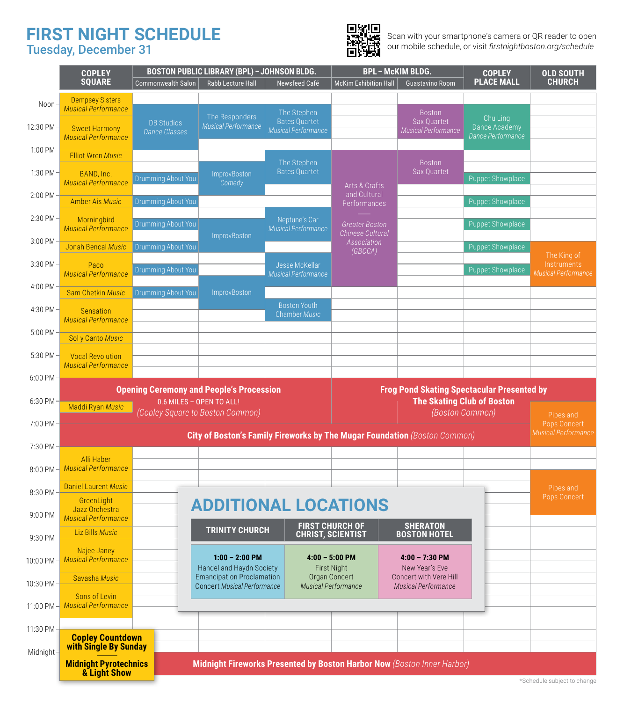#### **FIRST NIGHT SCHEDULE** Tuesday, December 31



Scan with your smartphone's camera or QR reader to open our mobile schedule, or visit *firstnightboston.org/schedule*

|                         | <b>COPLEY</b><br><b>SQUARE</b>                                                                       | <b>Commonwealth Salon</b>                 | <b>BOSTON PUBLIC LIBRARY (BPL) - JOHNSON BLDG.</b><br>Rabb Lecture Hall   | Newsfeed Café                                                     | <b>BPL-McKIM BLDG.</b><br><b>McKim Exhibition Hall</b> | Guastavino Room                                            | <b>COPLEY</b><br><b>PLACE MALL</b>             | <b>OLD SOUTH</b><br><b>CHURCH</b>                 |
|-------------------------|------------------------------------------------------------------------------------------------------|-------------------------------------------|---------------------------------------------------------------------------|-------------------------------------------------------------------|--------------------------------------------------------|------------------------------------------------------------|------------------------------------------------|---------------------------------------------------|
| Noon                    | <b>Dempsey Sisters</b>                                                                               |                                           |                                                                           |                                                                   |                                                        |                                                            |                                                |                                                   |
| 12:30 PM ·              | <b>Musical Performance</b><br><b>Sweet Harmony</b><br><b>Musical Performance</b>                     | <b>DB Studios</b><br><b>Dance Classes</b> | The Responders<br>Musical Performance                                     | The Stephen<br><b>Bates Quartet</b><br><b>Musical Performance</b> |                                                        | <b>Boston</b><br>Sax Quartet<br><b>Musical Performance</b> | Chu Ling<br>Dance Academy<br>Dance Performance |                                                   |
| 1:00 PM                 | <b>Elliot Wren Music</b>                                                                             |                                           |                                                                           |                                                                   |                                                        |                                                            |                                                |                                                   |
| 1:30 PM-                | BAND, Inc.<br><b>Musical Performance</b>                                                             | Drumming About You                        | <b>ImprovBoston</b><br>Comedy                                             | The Stephen<br><b>Bates Quartet</b>                               | Arts & Crafts                                          | <b>Boston</b><br>Sax Quartet                               | <b>Puppet Showplace</b>                        |                                                   |
| 2:00 PM                 | <b>Amber Ais Music</b>                                                                               | Drumming About You                        |                                                                           |                                                                   | and Cultural<br>Performances                           |                                                            | <b>Puppet Showplace</b>                        |                                                   |
| 2:30 PM                 | Morningbird<br><b>Musical Performance</b>                                                            | Drumming About You                        |                                                                           | Neptune's Car<br><b>Musical Performance</b>                       | <b>Greater Boston</b><br><b>Chinese Cultural</b>       |                                                            | <b>Puppet Showplace</b>                        |                                                   |
| 3:00 PM                 | Jonah Bencal Music                                                                                   | Drumming About You                        | <b>ImprovBoston</b>                                                       |                                                                   | Association<br>(GBCCA)                                 |                                                            | <b>Puppet Showplace</b>                        |                                                   |
| 3:30 PM                 | Paco<br><b>Musical Performance</b>                                                                   | Drumming About You                        |                                                                           | Jesse McKellar<br><b>Musical Performance</b>                      |                                                        |                                                            | <b>Puppet Showplace</b>                        | The King of<br>Instruments<br>Musical Performance |
| 4:00 PM                 | <b>Sam Chetkin Music</b>                                                                             | Drumming About You                        | <b>ImprovBoston</b>                                                       |                                                                   |                                                        |                                                            |                                                |                                                   |
| 4:30 PM                 | <b>Sensation</b><br><b>Musical Performance</b>                                                       |                                           |                                                                           | <b>Boston Youth</b><br><b>Chamber Music</b>                       |                                                        |                                                            |                                                |                                                   |
| 5:00 PM                 | Sol y Canto Music                                                                                    |                                           |                                                                           |                                                                   |                                                        |                                                            |                                                |                                                   |
| 5:30 PM                 | <b>Vocal Revolution</b><br><b>Musical Performance</b>                                                |                                           |                                                                           |                                                                   |                                                        |                                                            |                                                |                                                   |
| 6:00 PM                 | <b>Opening Ceremony and People's Procession</b><br><b>Frog Pond Skating Spectacular Presented by</b> |                                           |                                                                           |                                                                   |                                                        |                                                            |                                                |                                                   |
| 6:30 PM                 | 0.6 MILES - OPEN TO ALL!<br>Maddi Ryan Music                                                         |                                           |                                                                           |                                                                   | <b>The Skating Club of Boston</b>                      |                                                            |                                                |                                                   |
| 7:00 PM                 | (Copley Square to Boston Common)<br>(Boston Common)                                                  |                                           |                                                                           |                                                                   |                                                        |                                                            |                                                | Pipes and<br>Pops Concert                         |
| 7:30 PM                 |                                                                                                      |                                           | City of Boston's Family Fireworks by The Mugar Foundation (Boston Common) |                                                                   |                                                        |                                                            |                                                | <b>Musical Performance</b>                        |
|                         | <b>Alli Haber</b>                                                                                    |                                           |                                                                           |                                                                   |                                                        |                                                            |                                                |                                                   |
| 8:00 PM                 | <b>Musical Performance</b>                                                                           |                                           |                                                                           |                                                                   |                                                        |                                                            |                                                |                                                   |
| 8:30 PM                 |                                                                                                      |                                           |                                                                           |                                                                   |                                                        |                                                            |                                                |                                                   |
|                         | <b>Daniel Laurent Music</b>                                                                          |                                           |                                                                           |                                                                   |                                                        |                                                            |                                                | Pipes and<br>Pops Concert                         |
| 9:00 PM                 | GreenLight<br>Jazz Orchestra<br><b>Musical Performance</b>                                           |                                           | <b>ADDITIONAL LOCATIONS</b>                                               |                                                                   |                                                        |                                                            |                                                |                                                   |
|                         | <b>Liz Bills Music</b>                                                                               |                                           | <b>TRINITY CHURCH</b>                                                     |                                                                   | <b>FIRST CHURCH OF</b><br><b>CHRIST, SCIENTIST</b>     | <b>SHERATON</b><br><b>BOSTON HOTEL</b>                     |                                                |                                                   |
| 9:30 PM<br>10:00 PM $-$ | Najee Janey<br><b>Musical Performance</b>                                                            |                                           | $1:00 - 2:00$ PM                                                          |                                                                   | $4:00 - 5:00$ PM                                       | $4:00 - 7:30$ PM                                           |                                                |                                                   |
| 10:30 PM ·              | Savasha Music                                                                                        |                                           | Handel and Haydn Society<br><b>Emancipation Proclamation</b>              |                                                                   | <b>First Night</b><br>Organ Concert                    | New Year's Eve<br>Concert with Vere Hill                   |                                                |                                                   |
| 11:00 PM                | Sons of Levin<br><b>Musical Performance</b>                                                          |                                           | <b>Concert Musical Performance</b>                                        |                                                                   | <b>Musical Performance</b>                             | <b>Musical Performance</b>                                 |                                                |                                                   |
| 11:30 PM-               |                                                                                                      |                                           |                                                                           |                                                                   |                                                        |                                                            |                                                |                                                   |
|                         | <b>Copley Countdown</b><br>with Single By Sunday                                                     |                                           |                                                                           |                                                                   |                                                        |                                                            |                                                |                                                   |
| Midnight -              | <b>Midnight Pyrotechnics</b><br>& Light Show                                                         |                                           | Midnight Fireworks Presented by Boston Harbor Now (Boston Inner Harbor)   |                                                                   |                                                        |                                                            |                                                |                                                   |